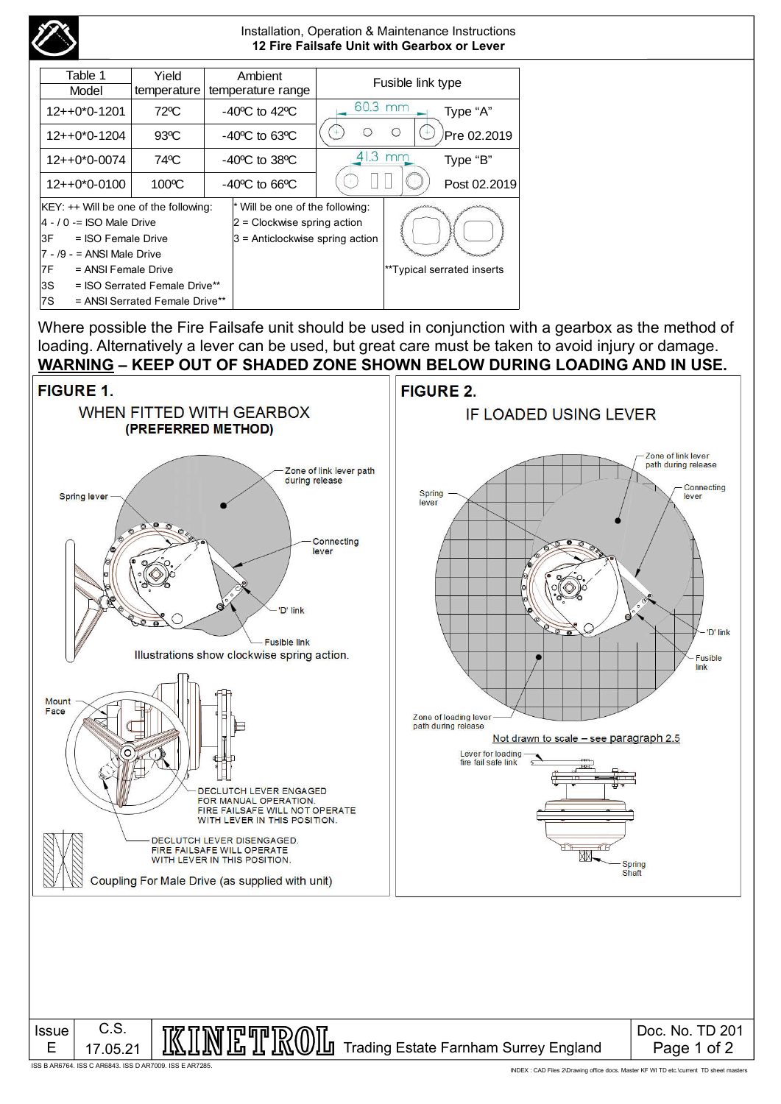

Where possible the Fire Failsafe unit should be used in conjunction with a gearbox as the method of loading. Alternatively a lever can be used, but great care must be taken to avoid injury or damage. **WARNING – KEEP OUT OF SHADED ZONE SHOWN BELOW DURING LOADING AND IN USE.**



ISS B AR6764. ISS C AR6843. ISS D AR7009. ISS E AR7285.

INDEX : CAD Files 2\Drawing office docs. Master KF WI TD etc.\current TD sheet masters